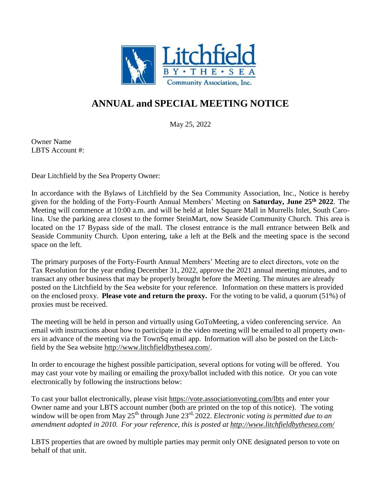

## **ANNUAL and SPECIAL MEETING NOTICE**

May 25, 2022

Owner Name LBTS Account #:

Dear Litchfield by the Sea Property Owner:

In accordance with the Bylaws of Litchfield by the Sea Community Association, Inc., Notice is hereby given for the holding of the Forty-Fourth Annual Members' Meeting on **Saturday, June 25th 2022**. The Meeting will commence at 10:00 a.m. and will be held at Inlet Square Mall in Murrells Inlet, South Carolina. Use the parking area closest to the former SteinMart, now Seaside Community Church. This area is located on the 17 Bypass side of the mall. The closest entrance is the mall entrance between Belk and Seaside Community Church. Upon entering, take a left at the Belk and the meeting space is the second space on the left.

The primary purposes of the Forty-Fourth Annual Members' Meeting are to elect directors, vote on the Tax Resolution for the year ending December 31, 2022, approve the 2021 annual meeting minutes, and to transact any other business that may be properly brought before the Meeting. The minutes are already posted on the Litchfield by the Sea website for your reference. Information on these matters is provided on the enclosed proxy. **Please vote and return the proxy.** For the voting to be valid, a quorum (51%) of proxies must be received.

The meeting will be held in person and virtually using GoToMeeting, a video conferencing service. An email with instructions about how to participate in the video meeting will be emailed to all property owners in advance of the meeting via the TownSq email app. Information will also be posted on the Litchfield by the Sea website [http://www.litchfieldbythesea.com/.](http://www.litchfieldbythesea.com/)

In order to encourage the highest possible participation, several options for voting will be offered. You may cast your vote by mailing or emailing the proxy/ballot included with this notice. Or you can vote electronically by following the instructions below:

To cast your ballot electronically, please visit<https://vote.associationvoting.com/lbts> and enter your Owner name and your LBTS account number (both are printed on the top of this notice). The voting window will be open from May  $25<sup>th</sup>$  through June  $23<sup>rd</sup>$ , 2022. *Electronic voting is permitted due to an amendment adopted in 2010. For your reference, this is posted at<http://www.litchfieldbythesea.com/>*

LBTS properties that are owned by multiple parties may permit only ONE designated person to vote on behalf of that unit.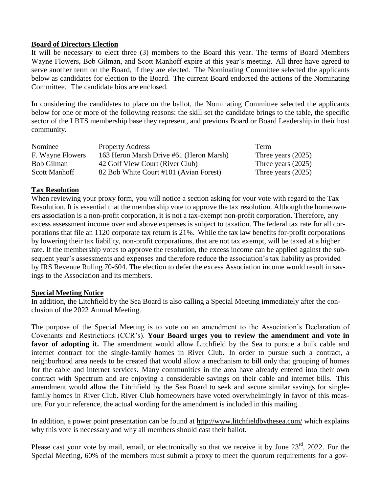### **Board of Directors Election**

It will be necessary to elect three (3) members to the Board this year. The terms of Board Members Wayne Flowers, Bob Gilman, and Scott Manhoff expire at this year's meeting. All three have agreed to serve another term on the Board, if they are elected. The Nominating Committee selected the applicants below as candidates for election to the Board. The current Board endorsed the actions of the Nominating Committee. The candidate bios are enclosed.

In considering the candidates to place on the ballot, the Nominating Committee selected the applicants below for one or more of the following reasons: the skill set the candidate brings to the table, the specific sector of the LBTS membership base they represent, and previous Board or Board Leadership in their host community.

| Nominee              | <b>Property Address</b>                 | Term                 |
|----------------------|-----------------------------------------|----------------------|
| F. Wayne Flowers     | 163 Heron Marsh Drive #61 (Heron Marsh) | Three years $(2025)$ |
| <b>Bob Gilman</b>    | 42 Golf View Court (River Club)         | Three years $(2025)$ |
| <b>Scott Manhoff</b> | 82 Bob White Court #101 (Avian Forest)  | Three years $(2025)$ |

### **Tax Resolution**

When reviewing your proxy form, you will notice a section asking for your vote with regard to the Tax Resolution. It is essential that the membership vote to approve the tax resolution. Although the homeowners association is a non-profit corporation, it is not a tax-exempt non-profit corporation. Therefore, any excess assessment income over and above expenses is subject to taxation. The federal tax rate for all corporations that file an 1120 corporate tax return is 21%. While the tax law benefits for-profit corporations by lowering their tax liability, non-profit corporations, that are not tax exempt, will be taxed at a higher rate. If the membership votes to approve the resolution, the excess income can be applied against the subsequent year's assessments and expenses and therefore reduce the association's tax liability as provided by IRS Revenue Ruling 70-604. The election to defer the excess Association income would result in savings to the Association and its members.

### **Special Meeting Notice**

In addition, the Litchfield by the Sea Board is also calling a Special Meeting immediately after the conclusion of the 2022 Annual Meeting.

The purpose of the Special Meeting is to vote on an amendment to the Association's Declaration of Covenants and Restrictions (CCR's). **Your Board urges you to review the amendment and vote in favor of adopting it.** The amendment would allow Litchfield by the Sea to pursue a bulk cable and internet contract for the single-family homes in River Club. In order to pursue such a contract, a neighborhood area needs to be created that would allow a mechanism to bill only that grouping of homes for the cable and internet services. Many communities in the area have already entered into their own contract with Spectrum and are enjoying a considerable savings on their cable and internet bills. This amendment would allow the Litchfield by the Sea Board to seek and secure similar savings for singlefamily homes in River Club. River Club homeowners have voted overwhelmingly in favor of this measure. For your reference, the actual wording for the amendment is included in this mailing.

In addition, a power point presentation can be found at <http://www.litchfieldbythesea.com/> which explains why this vote is necessary and why all members should cast their ballot.

Please cast your vote by mail, email, or electronically so that we receive it by June  $23<sup>rd</sup>$ , 2022. For the Special Meeting, 60% of the members must submit a proxy to meet the quorum requirements for a gov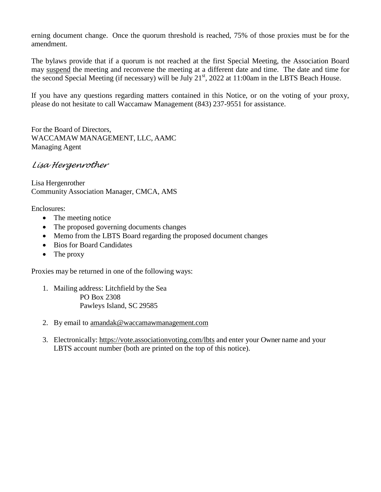erning document change. Once the quorum threshold is reached, 75% of those proxies must be for the amendment.

The bylaws provide that if a quorum is not reached at the first Special Meeting, the Association Board may suspend the meeting and reconvene the meeting at a different date and time. The date and time for the second Special Meeting (if necessary) will be July 21<sup>st</sup>, 2022 at 11:00am in the LBTS Beach House.

If you have any questions regarding matters contained in this Notice, or on the voting of your proxy, please do not hesitate to call Waccamaw Management (843) 237-9551 for assistance.

For the Board of Directors, WACCAMAW MANAGEMENT, LLC, AAMC Managing Agent

## *Lisa Hergenrother*

Lisa Hergenrother Community Association Manager, CMCA, AMS

Enclosures:

- The meeting notice
- The proposed governing documents changes
- Memo from the LBTS Board regarding the proposed document changes
- Bios for Board Candidates
- The proxy

Proxies may be returned in one of the following ways:

- 1. Mailing address: Litchfield by the Sea PO Box 2308 Pawleys Island, SC 29585
- 2. By email to [amandak@waccamawmanagement.com](mailto:amandak@waccamawmanagement.com)
- 3. Electronically: <https://vote.associationvoting.com/lbts> and enter your Owner name and your LBTS account number (both are printed on the top of this notice).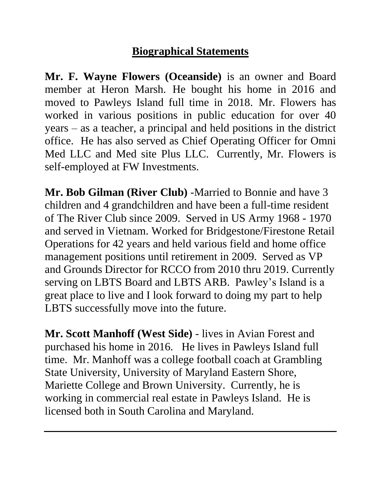# **Biographical Statements**

**Mr. F. Wayne Flowers (Oceanside)** is an owner and Board member at Heron Marsh. He bought his home in 2016 and moved to Pawleys Island full time in 2018. Mr. Flowers has worked in various positions in public education for over 40 years – as a teacher, a principal and held positions in the district office. He has also served as Chief Operating Officer for Omni Med LLC and Med site Plus LLC. Currently, Mr. Flowers is self-employed at FW Investments.

**Mr. Bob Gilman (River Club)** -Married to Bonnie and have 3 children and 4 grandchildren and have been a full-time resident of The River Club since 2009. Served in US Army 1968 - 1970 and served in Vietnam. Worked for Bridgestone/Firestone Retail Operations for 42 years and held various field and home office management positions until retirement in 2009. Served as VP and Grounds Director for RCCO from 2010 thru 2019. Currently serving on LBTS Board and LBTS ARB. Pawley's Island is a great place to live and I look forward to doing my part to help LBTS successfully move into the future.

**Mr. Scott Manhoff (West Side)** - lives in Avian Forest and purchased his home in 2016. He lives in Pawleys Island full time. Mr. Manhoff was a college football coach at Grambling State University, University of Maryland Eastern Shore, Mariette College and Brown University. Currently, he is working in commercial real estate in Pawleys Island. He is licensed both in South Carolina and Maryland.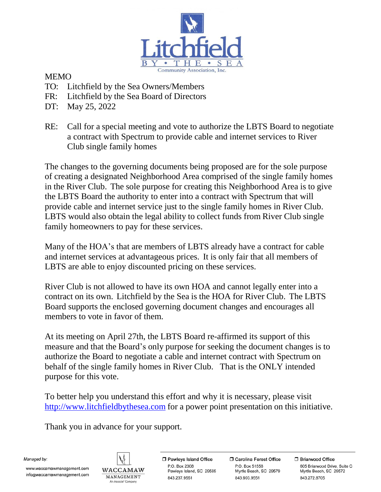

### MEMO

- TO: Litchfield by the Sea Owners/Members
- FR: Litchfield by the Sea Board of Directors
- DT: May 25, 2022
- RE: Call for a special meeting and vote to authorize the LBTS Board to negotiate a contract with Spectrum to provide cable and internet services to River Club single family homes

The changes to the governing documents being proposed are for the sole purpose of creating a designated Neighborhood Area comprised of the single family homes in the River Club. The sole purpose for creating this Neighborhood Area is to give the LBTS Board the authority to enter into a contract with Spectrum that will provide cable and internet service just to the single family homes in River Club. LBTS would also obtain the legal ability to collect funds from River Club single family homeowners to pay for these services.

Many of the HOA's that are members of LBTS already have a contract for cable and internet services at advantageous prices. It is only fair that all members of LBTS are able to enjoy discounted pricing on these services.

River Club is not allowed to have its own HOA and cannot legally enter into a contract on its own. Litchfield by the Sea is the HOA for River Club. The LBTS Board supports the enclosed governing document changes and encourages all members to vote in favor of them.

At its meeting on April 27th, the LBTS Board re-affirmed its support of this measure and that the Board's only purpose for seeking the document changes is to authorize the Board to negotiate a cable and internet contract with Spectrum on behalf of the single family homes in River Club. That is the ONLY intended purpose for this vote.

To better help you understand this effort and why it is necessary, please visit [http://www.litchfieldbythesea.com](http://www.litchfieldbythesea.com/) for a power point presentation on this initiative.

Thank you in advance for your support.

Managed by:

www.waccamawmanagement.com info@waccamawmanagement.com



□ Pawleys Island Office P.O. Box 2308 Pawleys Island, SC 29585 843.237.9551

**O** Carolina Forest Office P.O. Box 51558 Myrtle Beach, SC 29579 843.903.9551

□ Briarwood Office 605 Briarwood Drive, Suite C Myrtle Beach, SC 29572 843.272.8705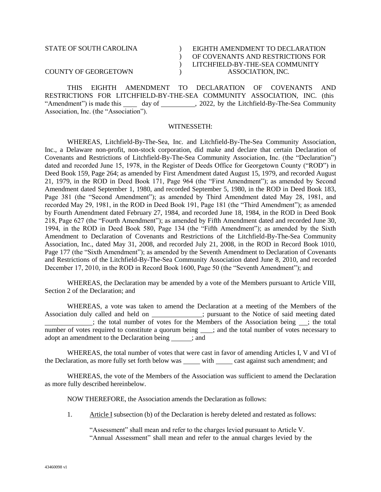# STATE OF SOUTH CAROLINA COUNTY OF GEORGETOWN

### EIGHTH AMENDMENT TO DECLARATION OF COVENANTS AND RESTRICTIONS FOR LITCHFIELD-BY-THE-SEA COMMUNITY ASSOCIATION, INC.

THIS EIGHTH AMENDMENT TO DECLARATION OF COVENANTS AND RESTRICTIONS FOR LITCHFIELD-BY-THE-SEA COMMUNITY ASSOCIATION, INC. (this "Amendment") is made this day of day of  $\frac{2022}{100}$ , 2022, by the Litchfield-By-The-Sea Community Association, Inc. (the "Association").

 $\overline{)}$  $\mathcal{L}$  $\overline{)}$  $\mathcal{L}$ 

### WITNESSETH:

WHEREAS, Litchfield-By-The-Sea, Inc. and Litchfield-By-The-Sea Community Association, Inc., a Delaware non-profit, non-stock corporation, did make and declare that certain Declaration of Covenants and Restrictions of Litchfield-By-The-Sea Community Association, Inc. (the "Declaration") dated and recorded June 15, 1978, in the Register of Deeds Office for Georgetown County ("ROD") in Deed Book 159, Page 264; as amended by First Amendment dated August 15, 1979, and recorded August 21, 1979, in the ROD in Deed Book 171, Page 964 (the "First Amendment"); as amended by Second Amendment dated September 1, 1980, and recorded September 5, 1980, in the ROD in Deed Book 183, Page 381 (the "Second Amendment"); as amended by Third Amendment dated May 28, 1981, and recorded May 29, 1981, in the ROD in Deed Book 191, Page 181 (the "Third Amendment"); as amended by Fourth Amendment dated February 27, 1984, and recorded June 18, 1984, in the ROD in Deed Book 218, Page 627 (the "Fourth Amendment"); as amended by Fifth Amendment dated and recorded June 30, 1994, in the ROD in Deed Book 580, Page 134 (the "Fifth Amendment"); as amended by the Sixth Amendment to Declaration of Covenants and Restrictions of the Litchfield-By-The-Sea Community Association, Inc., dated May 31, 2008, and recorded July 21, 2008, in the ROD in Record Book 1010, Page 177 (the "Sixth Amendment"); as amended by the Seventh Amendment to Declaration of Covenants and Restrictions of the Litchfield-By-The-Sea Community Association dated June 8, 2010, and recorded December 17, 2010, in the ROD in Record Book 1600, Page 50 (the "Seventh Amendment"); and

WHEREAS, the Declaration may be amended by a vote of the Members pursuant to Article VIII, Section 2 of the Declaration; and

WHEREAS, a vote was taken to amend the Declaration at a meeting of the Members of the Association duly called and held on  $\frac{1}{\sqrt{2}}$  j pursuant to the Notice of said meeting dated ; the total number of votes for the Members of the Association being ; the total number of votes required to constitute a quorum being \_\_\_; and the total number of votes necessary to adopt an amendment to the Declaration being ; and

WHEREAS, the total number of votes that were cast in favor of amending Articles I, V and VI of the Declaration, as more fully set forth below was with cast against such amendment; and

WHEREAS, the vote of the Members of the Association was sufficient to amend the Declaration as more fully described hereinbelow.

NOW THEREFORE, the Association amends the Declaration as follows:

1. Article I subsection (b) of the Declaration is hereby deleted and restated as follows:

"Assessment" shall mean and refer to the charges levied pursuant to Article V. "Annual Assessment" shall mean and refer to the annual charges levied by the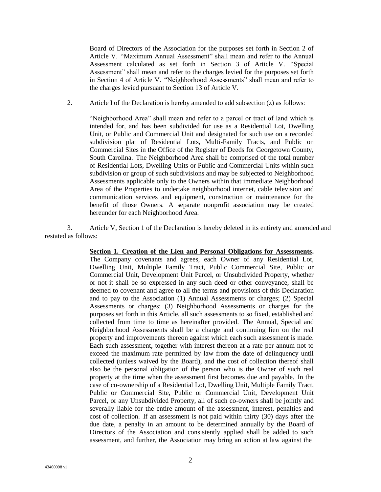Board of Directors of the Association for the purposes set forth in Section 2 of Article V. "Maximum Annual Assessment" shall mean and refer to the Annual Assessment calculated as set forth in Section 3 of Article V. "Special Assessment" shall mean and refer to the charges levied for the purposes set forth in Section 4 of Article V. "Neighborhood Assessments" shall mean and refer to the charges levied pursuant to Section 13 of Article V.

2. Article I of the Declaration is hereby amended to add subsection (z) as follows:

"Neighborhood Area" shall mean and refer to a parcel or tract of land which is intended for, and has been subdivided for use as a Residential Lot, Dwelling Unit, or Public and Commercial Unit and designated for such use on a recorded subdivision plat of Residential Lots, Multi-Family Tracts, and Public on Commercial Sites in the Office of the Register of Deeds for Georgetown County, South Carolina. The Neighborhood Area shall be comprised of the total number of Residential Lots, Dwelling Units or Public and Commercial Units within such subdivision or group of such subdivisions and may be subjected to Neighborhood Assessments applicable only to the Owners within that immediate Neighborhood Area of the Properties to undertake neighborhood internet, cable television and communication services and equipment, construction or maintenance for the benefit of those Owners. A separate nonprofit association may be created hereunder for each Neighborhood Area.

3. Article V, Section 1 of the Declaration is hereby deleted in its entirety and amended and restated as follows:

#### **Section 1. Creation of the Lien and Personal Obligations for Assessments.**

The Company covenants and agrees, each Owner of any Residential Lot, Dwelling Unit, Multiple Family Tract, Public Commercial Site, Public or Commercial Unit, Development Unit Parcel, or Unsubdivided Property, whether or not it shall be so expressed in any such deed or other conveyance, shall be deemed to covenant and agree to all the terms and provisions of this Declaration and to pay to the Association (1) Annual Assessments or charges; (2) Special Assessments or charges; (3) Neighborhood Assessments or charges for the purposes set forth in this Article, all such assessments to so fixed, established and collected from time to time as hereinafter provided. The Annual, Special and Neighborhood Assessments shall be a charge and continuing lien on the real property and improvements thereon against which each such assessment is made. Each such assessment, together with interest thereon at a rate per annum not to exceed the maximum rate permitted by law from the date of delinquency until collected (unless waived by the Board), and the cost of collection thereof shall also be the personal obligation of the person who is the Owner of such real property at the time when the assessment first becomes due and payable. In the case of co-ownership of a Residential Lot, Dwelling Unit, Multiple Family Tract, Public or Commercial Site, Public or Commercial Unit, Development Unit Parcel, or any Unsubdivided Property, all of such co-owners shall be jointly and severally liable for the entire amount of the assessment, interest, penalties and cost of collection. If an assessment is not paid within thirty (30) days after the due date, a penalty in an amount to be determined annually by the Board of Directors of the Association and consistently applied shall be added to such assessment, and further, the Association may bring an action at law against the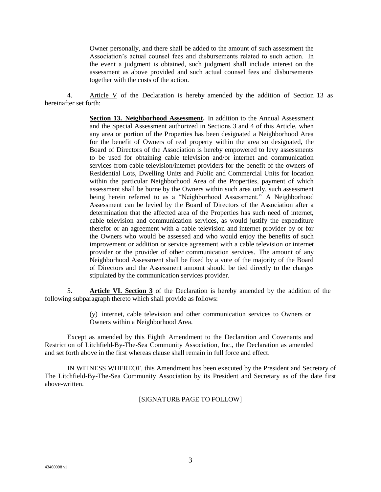Owner personally, and there shall be added to the amount of such assessment the Association's actual counsel fees and disbursements related to such action. In the event a judgment is obtained, such judgment shall include interest on the assessment as above provided and such actual counsel fees and disbursements together with the costs of the action.

4. Article V of the Declaration is hereby amended by the addition of Section 13 as hereinafter set forth:

> **Section 13. Neighborhood Assessment.** In addition to the Annual Assessment and the Special Assessment authorized in Sections 3 and 4 of this Article, when any area or portion of the Properties has been designated a Neighborhood Area for the benefit of Owners of real property within the area so designated, the Board of Directors of the Association is hereby empowered to levy assessments to be used for obtaining cable television and/or internet and communication services from cable television/internet providers for the benefit of the owners of Residential Lots, Dwelling Units and Public and Commercial Units for location within the particular Neighborhood Area of the Properties, payment of which assessment shall be borne by the Owners within such area only, such assessment being herein referred to as a "Neighborhood Assessment." A Neighborhood Assessment can be levied by the Board of Directors of the Association after a determination that the affected area of the Properties has such need of internet, cable television and communication services, as would justify the expenditure therefor or an agreement with a cable television and internet provider by or for the Owners who would be assessed and who would enjoy the benefits of such improvement or addition or service agreement with a cable television or internet provider or the provider of other communication services. The amount of any Neighborhood Assessment shall be fixed by a vote of the majority of the Board of Directors and the Assessment amount should be tied directly to the charges stipulated by the communication services provider.

5. **Article VI. Section 3** of the Declaration is hereby amended by the addition of the following subparagraph thereto which shall provide as follows:

> (y) internet, cable television and other communication services to Owners or Owners within a Neighborhood Area.

Except as amended by this Eighth Amendment to the Declaration and Covenants and Restriction of Litchfield-By-The-Sea Community Association, Inc., the Declaration as amended and set forth above in the first whereas clause shall remain in full force and effect.

IN WITNESS WHEREOF, this Amendment has been executed by the President and Secretary of The Litchfield-By-The-Sea Community Association by its President and Secretary as of the date first above-written.

[SIGNATURE PAGE TO FOLLOW]